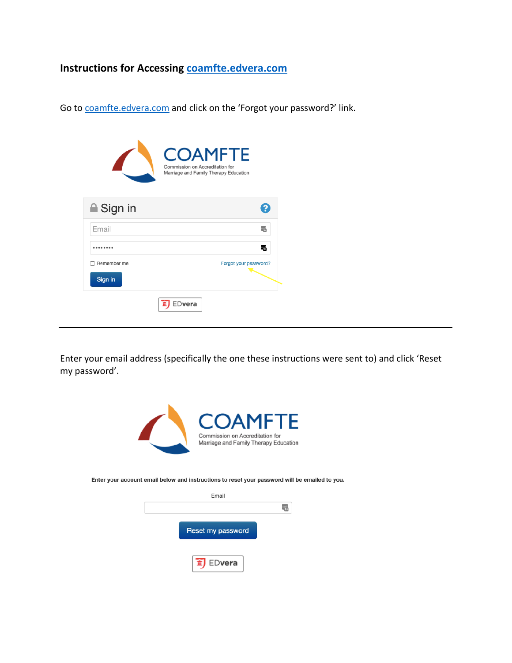## **Instructions for Accessing<coamfte.edvera.com>**

Go to <coamfte.edvera.com> and click on the 'Forgot your password?' link.

|                  | <b>COAMFTE</b><br>Commission on Accreditation for<br>Marriage and Family Therapy Education |
|------------------|--------------------------------------------------------------------------------------------|
| <b>■</b> Sign in |                                                                                            |
| Email            |                                                                                            |
|                  | ۳.                                                                                         |
| Remember me      | Forgot your password?                                                                      |
| Sign in          |                                                                                            |
|                  | Dvera                                                                                      |

Enter your email address (specifically the one these instructions were sent to) and click 'Reset my password'.



Enter your account email below and instructions to reset your password will be emailed to you.

| Email             |  |
|-------------------|--|
|                   |  |
| Reset my password |  |
| fil EDvera        |  |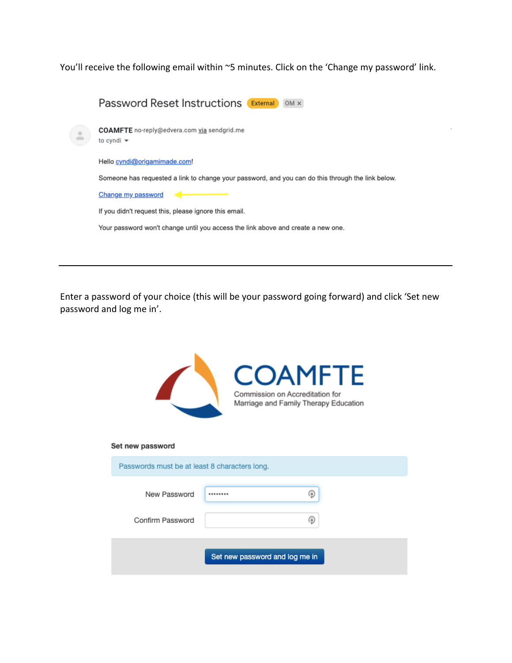You'll receive the following email within ~5 minutes. Click on the 'Change my password' link.

|           | <b>Password Reset Instructions External OM x</b>                                                  |
|-----------|---------------------------------------------------------------------------------------------------|
| $\bar{z}$ | <b>COAMFTE</b> no-reply@edvera.com via sendgrid.me<br>to cyndi $\blacktriangleright$              |
|           | Hello cyndi@origamimade.com!                                                                      |
|           | Someone has requested a link to change your password, and you can do this through the link below. |
|           | Change my password                                                                                |
|           | If you didn't request this, please ignore this email.                                             |
|           | Your password won't change until you access the link above and create a new one.                  |
|           |                                                                                                   |
|           |                                                                                                   |

Enter a password of your choice (this will be your password going forward) and click 'Set new password and log me in'.

|                                               | <b>COAMFTE</b><br>Commission on Accreditation for<br>Marriage and Family Therapy Education |
|-----------------------------------------------|--------------------------------------------------------------------------------------------|
| Set new password                              |                                                                                            |
| Passwords must be at least 8 characters long. |                                                                                            |
| New Password<br>Confirm Password              | (@)                                                                                        |
|                                               | Set new password and log me in                                                             |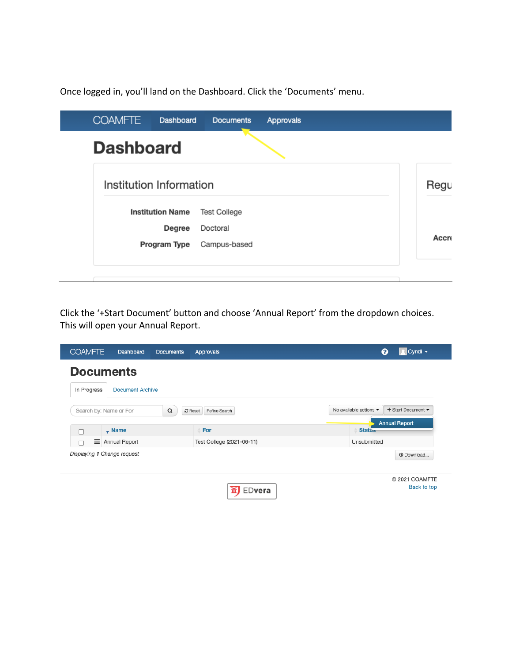Once logged in, you'll land on the Dashboard. Click the 'Documents' menu.

| <b>COAMFTE</b>   | Dashboard               | <b>Documents</b>    | <b>Approvals</b> |       |
|------------------|-------------------------|---------------------|------------------|-------|
| <b>Dashboard</b> |                         |                     |                  |       |
|                  | Institution Information |                     |                  | Regu  |
|                  | <b>Institution Name</b> | <b>Test College</b> |                  |       |
|                  | Degree                  | Doctoral            |                  |       |
|                  | Program Type            | Campus-based        |                  | Accre |
|                  |                         |                     |                  |       |

Click the '+Start Document' button and choose 'Annual Report' from the dropdown choices. This will open your Annual Report.

| <b>COAMFTE</b>              | Dashboard               | <b>Documents</b> | <b>Approvals</b>           | $\sqrt{2}$ Cyndi $\sim$<br>ଵ                                    |
|-----------------------------|-------------------------|------------------|----------------------------|-----------------------------------------------------------------|
| <b>Documents</b>            |                         |                  |                            |                                                                 |
| In Progress                 | <b>Document Archive</b> |                  |                            |                                                                 |
| Search by: Name or For      |                         | Q                | $C$ Reset<br>Refine Search | + Start Document -<br>No available actions $\blacktriangledown$ |
| C                           | $\sqrt{ }$ Name         |                  | For                        | <b>Annual Report</b><br><b>Status</b>                           |
| ≡<br>г                      | Annual Report           |                  | Test College (2021-06-11)  | Unsubmitted                                                     |
| Displaying 1 Change request |                         |                  |                            | <b>@</b> Download                                               |
|                             |                         |                  | EDvera                     | C 2021 COAMFTE<br>Back to top                                   |